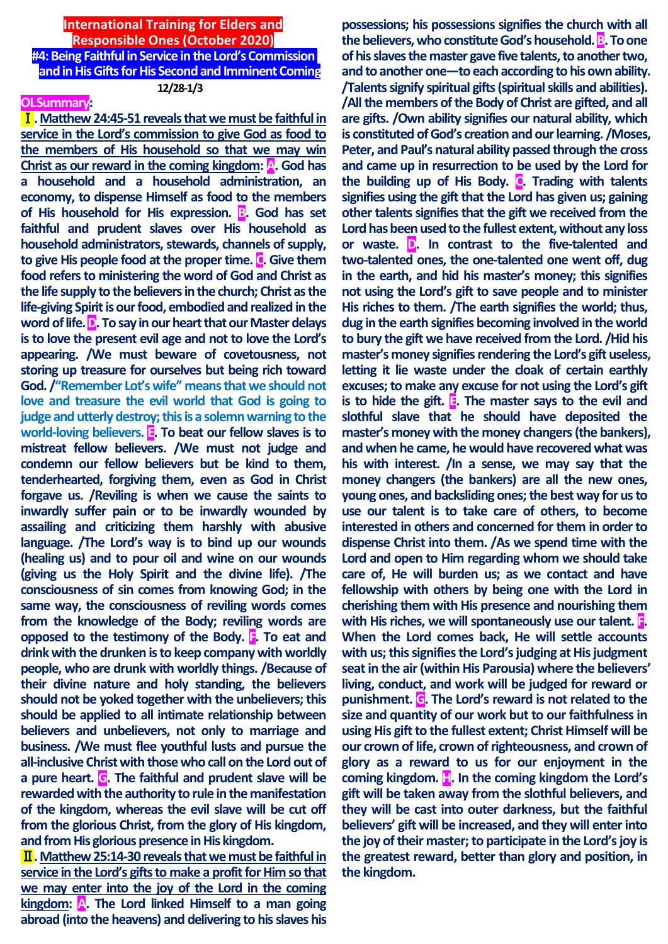# **International Training for Elders and Responsible Ones (October 2020)**

**#4: Being Faithful in Service in the Lord's Commission and in His Gifts for His Second and Imminent Coming 12/28-1/3**

## **OLSummary:**

Ⅰ**. Matthew 24:45-51 reveals that we must be faithful in service in the Lord's commission to give God as food to the members of His household so that we may win Christ as our reward in the coming kingdom: A. God has a household and a household administration, an economy, to dispense Himself as food to the members**  of His household for His expression. **B**. God has set **faithful and prudent slaves over His household as household administrators, stewards, channels of supply, to give His people food at the proper time. C. Give them food refers to ministering the word of God and Christ as the life supply to the believers in the church; Christ as the life-giving Spirit is our food, embodied and realized in the word of life. D. To say in our heart that our Master delays is to love the present evil age and not to love the Lord's appearing. /We must beware of covetousness, not storing up treasure for ourselves but being rich toward God. /"Remember Lot's wife" means that we should not love and treasure the evil world that God is going to judge and utterly destroy; this is a solemn warning to the world-loving believers. E. To beat our fellow slaves is to mistreat fellow believers. /We must not judge and condemn our fellow believers but be kind to them, tenderhearted, forgiving them, even as God in Christ forgave us. /Reviling is when we cause the saints to inwardly suffer pain or to be inwardly wounded by assailing and criticizing them harshly with abusive language. /The Lord's way is to bind up our wounds (healing us) and to pour oil and wine on our wounds (giving us the Holy Spirit and the divine life). /The consciousness of sin comes from knowing God; in the same way, the consciousness of reviling words comes from the knowledge of the Body; reviling words are opposed to the testimony of the Body. F. To eat and drink with the drunken is to keep company with worldly people, who are drunk with worldly things. /Because of their divine nature and holy standing, the believers should not be yoked together with the unbelievers; this should be applied to all intimate relationship between believers and unbelievers, not only to marriage and business. /We must flee youthful lusts and pursue the all-inclusive Christ with those who call on the Lord out of a pure heart. G. The faithful and prudent slave will be rewarded with the authority to rule in the manifestation of the kingdom, whereas the evil slave will be cut off from the glorious Christ, from the glory of His kingdom, and from His glorious presence in His kingdom.**

Ⅱ**. Matthew25:14-30 reveals that we must be faithful in service in the Lord's gifts to make a profit for Him so that we may enter into the joy of the Lord in the coming kingdom: A. The Lord linked Himself to a man going abroad (into the heavens) and delivering to his slaves his** 

**possessions; his possessions signifies the church with all the believers, who constitute God's household.B. To one of his slaves the master gave five talents, to another two, and to another one—to each according to his own ability. /Talents signify spiritual gifts (spiritual skills and abilities). /All the members of the Body of Christ are gifted, and all are gifts. /Own ability signifies our natural ability, which is constituted of God's creation and our learning. /Moses, Peter, and Paul's natural ability passed through the cross and came up in resurrection to be used by the Lord for the building up of His Body. C. Trading with talents**  signifies using the gift that the Lord has given us; gaining **other talents signifies that the gift we received from the Lord has been used to the fullest extent, without any loss or waste. D. In contrast to the five-talented and two-talented ones, the one-talented one went off, dug in the earth, and hid his master's money; this signifies not using the Lord's gift to save people and to minister His riches to them. /The earth signifies the world; thus, dug in the earth signifies becoming involved in the world to bury the gift we have received from the Lord. /Hid his master's money signifies rendering the Lord's gift useless, letting it lie waste under the cloak of certain earthly excuses; to make any excuse for not using the Lord's gift is to hide the gift. E. The master says to the evil and slothful slave that he should have deposited the master's money with the money changers (the bankers), and when he came, he would have recovered what was his with interest. /In a sense, we may say that the money changers (the bankers) are all the new ones, young ones, and backsliding ones; the best way for us to use our talent is to take care of others, to become interested in others and concerned for them in order to dispense Christ into them. /As we spend time with the Lord and open to Him regarding whom we should take care of, He will burden us; as we contact and have fellowship with others by being one with the Lord in cherishing them with His presence and nourishing them with His riches, we will spontaneously use our talent. F. When the Lord comes back, He will settle accounts with us; this signifies the Lord's judging at His judgment seat in the air (within His Parousia) where the believers' living, conduct, and work will be judged for reward or punishment. G. The Lord's reward is not related to the size and quantity of our work but to our faithfulness in using His gift to the fullest extent; Christ Himself will be our crown of life, crown of righteousness, and crown of glory as a reward to us for our enjoyment in the coming kingdom. H. In the coming kingdom the Lord's gift will be taken away from the slothful believers, and they will be cast into outer darkness, but the faithful believers' gift will be increased, and they will enter into the joy of their master; to participate in the Lord's joy is the greatest reward, better than glory and position, in the kingdom.**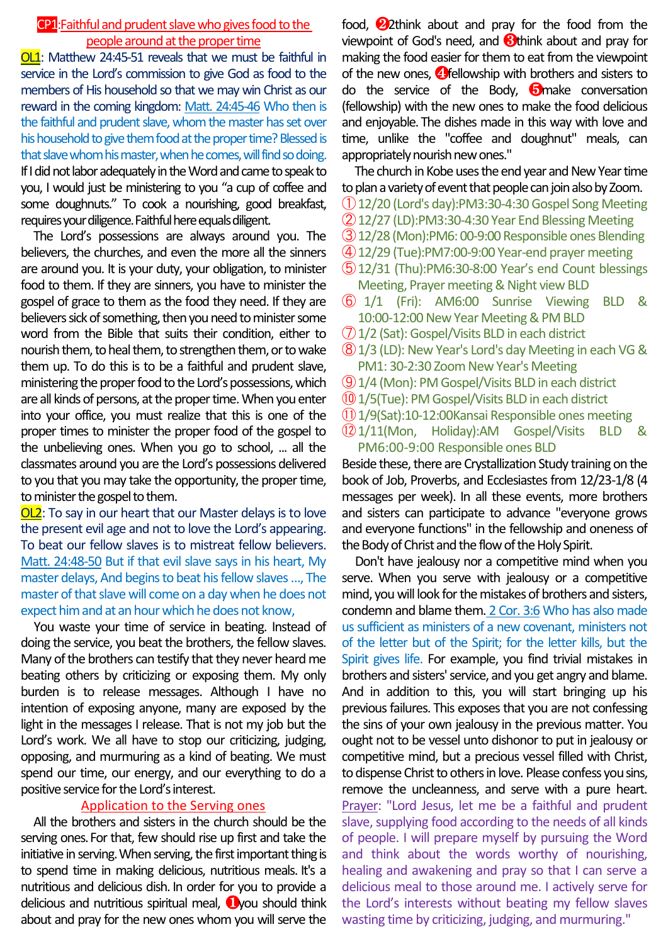## CP1:Faithful and prudent slave who gives food to the people around at the proper time

OL1: Matthew 24:45-51 reveals that we must be faithful in service in the Lord's commission to give God as food to the members of His household so that we may win Christ as our reward in the coming kingdom: Matt. 24:45-46 Who then is the faithful and prudent slave, whom the master has set over his household to give them food at the proper time? Blessed is that slave whom his master, when he comes, will find so doing. If I did not labor adequately in the Word and came to speak to you, I would just be ministering to you "a cup of coffee and some doughnuts." To cook a nourishing, good breakfast, requires your diligence.Faithful here equals diligent.

The Lord's possessions are always around you. The believers, the churches, and even the more all the sinners are around you. It is your duty, your obligation, to minister food to them. If they are sinners, you have to minister the gospel of grace to them as the food they need. If they are believers sick of something, then you need to minister some word from the Bible that suits their condition, either to nourish them, to heal them, to strengthen them, or to wake them up. To do this is to be a faithful and prudent slave, ministering the proper food to the Lord's possessions, which are all kinds of persons, at the proper time. When you enter into your office, you must realize that this is one of the proper times to minister the proper food of the gospel to the unbelieving ones. When you go to school, ... all the classmates around you are the Lord's possessions delivered to you that you may take the opportunity, the proper time, to minister the gospel to them.

OL2: To say in our heart that our Master delays is to love the present evil age and not to love the Lord's appearing. To beat our fellow slaves is to mistreat fellow believers. Matt. 24:48-50 But if that evil slave says in his heart, My master delays, And begins to beat his fellow slaves …, The master of that slave will come on a day when he does not expect him and at an hour which he does not know,

You waste your time of service in beating. Instead of doing the service, you beat the brothers, the fellow slaves. Many of the brothers can testify that they never heard me beating others by criticizing or exposing them. My only burden is to release messages. Although I have no intention of exposing anyone, many are exposed by the light in the messages I release. That is not my job but the Lord's work. We all have to stop our criticizing, judging, opposing, and murmuring as a kind of beating. We must spend our time, our energy, and our everything to do a positive service for the Lord's interest.

#### Application to the Serving ones

All the brothers and sisters in the church should be the serving ones. For that, few should rise up first and take the initiative in serving.When serving, the first important thing is to spend time in making delicious, nutritious meals. It's a nutritious and delicious dish. In order for you to provide a delicious and nutritious spiritual meal, ❶you should think about and pray for the new ones whom you will serve the

food, ❷2think about and pray for the food from the viewpoint of God's need, and  $\bigotimes$ think about and pray for making the food easier for them to eat from the viewpoint of the new ones, **4** fellowship with brothers and sisters to do the service of the Body, ❺make conversation (fellowship) with the new ones to make the food delicious and enjoyable. The dishes made in this way with love and time, unlike the "coffee and doughnut" meals, can appropriately nourish new ones."

The church in Kobe uses the end year and New Year time to plan a variety of event that people can join also by Zoom.

- ①12/20 (Lord's day):PM3:30-4:30 Gospel Song Meeting
- ②12/27 (LD):PM3:30-4:30 Year End Blessing Meeting
- ③12/28 (Mon):PM6: 00-9:00 Responsible ones Blending
- ④12/29 (Tue):PM7:00-9:00 Year-end prayer meeting
- ⑤12/31 (Thu):PM6:30-8:00 Year's end Count blessings Meeting, Prayer meeting & Night view BLD
- ⑥ 1/1 (Fri): AM6:00 Sunrise Viewing BLD & 10:00-12:00 New Year Meeting & PM BLD
- ⑦1/2 (Sat): Gospel/Visits BLD in each district
- ⑧1/3 (LD): New Year's Lord's day Meeting in each VG & PM1: 30-2:30 Zoom New Year's Meeting
- ⑨1/4 (Mon): PM Gospel/Visits BLD in each district
- ⑩1/5(Tue): PM Gospel/Visits BLD in each district
- ⑪1/9(Sat):10-12:00Kansai Responsible ones meeting
- ⑫1/11(Mon, Holiday):AM Gospel/Visits BLD & PM6:00-9:00 Responsible ones BLD

Beside these, there are Crystallization Study training on the book of Job, Proverbs, and Ecclesiastes from 12/23-1/8 (4 messages per week). In all these events, more brothers and sisters can participate to advance "everyone grows and everyone functions" in the fellowship and oneness of the Body of Christ and the flow of the Holy Spirit.

Don't have jealousy nor a competitive mind when you serve. When you serve with jealousy or a competitive mind, you will look for the mistakes of brothers and sisters, condemn and blame them. 2 Cor. 3:6 Who has also made us sufficient as ministers of a new covenant, ministers not of the letter but of the Spirit; for the letter kills, but the Spirit gives life. For example, you find trivial mistakes in brothers and sisters' service, and you get angry and blame. And in addition to this, you will start bringing up his previous failures. This exposes that you are not confessing the sins of your own jealousy in the previous matter. You ought not to be vessel unto dishonor to put in jealousy or competitive mind, but a precious vessel filled with Christ, to dispense Christ to others in love. Please confess you sins, remove the uncleanness, and serve with a pure heart. Prayer: "Lord Jesus, let me be a faithful and prudent slave, supplying food according to the needs of all kinds of people. I will prepare myself by pursuing the Word and think about the words worthy of nourishing, healing and awakening and pray so that I can serve a delicious meal to those around me. I actively serve for the Lord's interests without beating my fellow slaves wasting time by criticizing, judging, and murmuring."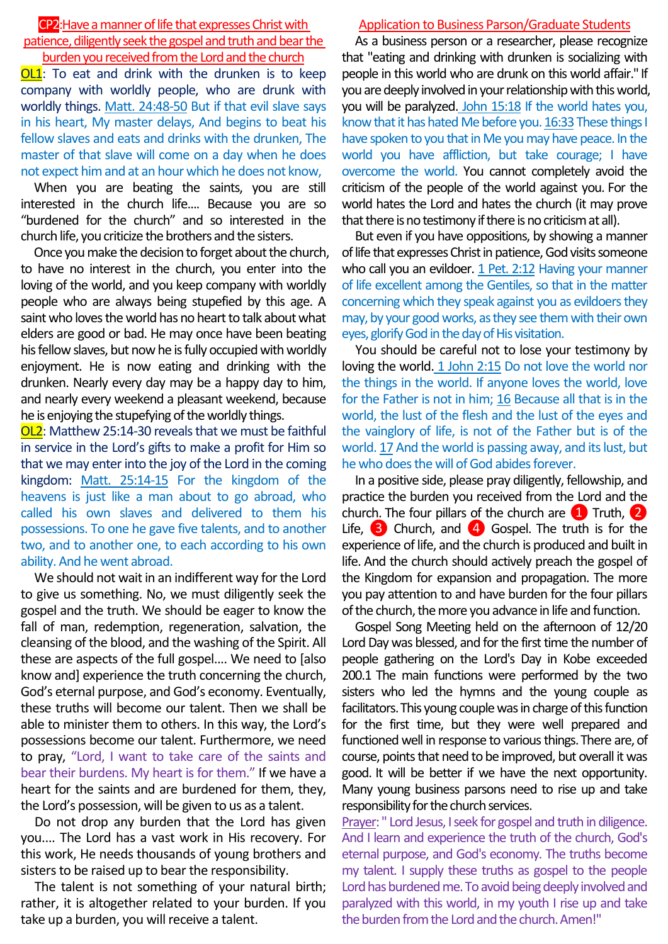## CP2:Have a manner of life that expresses Christ with patience, diligently seek the gospel and truth and bear the burden you received from the Lord and the church

**OL1**: To eat and drink with the drunken is to keep company with worldly people, who are drunk with worldly things. Matt. 24:48-50 But if that evil slave says in his heart, My master delays, And begins to beat his fellow slaves and eats and drinks with the drunken, The master of that slave will come on a day when he does not expect him and at an hour which he does not know,

When you are beating the saints, you are still interested in the church life.... Because you are so "burdened for the church" and so interested in the church life, you criticize the brothers and the sisters.

Once you make the decision to forget about the church, to have no interest in the church, you enter into the loving of the world, and you keep company with worldly people who are always being stupefied by this age. A saint who loves the world has no heart to talk about what elders are good or bad. He may once have been beating his fellow slaves, but now he is fully occupied with worldly enjoyment. He is now eating and drinking with the drunken. Nearly every day may be a happy day to him, and nearly every weekend a pleasant weekend, because he is enjoying the stupefying of the worldly things.

OL2: Matthew 25:14-30 reveals that we must be faithful in service in the Lord's gifts to make a profit for Him so that we may enter into the joy of the Lord in the coming kingdom: Matt. 25:14-15 For the kingdom of the heavens is just like a man about to go abroad, who called his own slaves and delivered to them his possessions. To one he gave five talents, and to another two, and to another one, to each according to his own ability. And he went abroad.

We should not wait in an indifferent way for the Lord to give us something. No, we must diligently seek the gospel and the truth. We should be eager to know the fall of man, redemption, regeneration, salvation, the cleansing of the blood, and the washing of the Spirit. All these are aspects of the full gospel.... We need to [also know and] experience the truth concerning the church, God's eternal purpose, and God's economy. Eventually, these truths will become our talent. Then we shall be able to minister them to others. In this way, the Lord's possessions become our talent. Furthermore, we need to pray, "Lord, I want to take care of the saints and bear their burdens. My heart is for them." If we have a heart for the saints and are burdened for them, they, the Lord's possession, will be given to us as a talent.

Do not drop any burden that the Lord has given you.... The Lord has a vast work in His recovery. For this work, He needs thousands of young brothers and sisters to be raised up to bear the responsibility.

The talent is not something of your natural birth; rather, it is altogether related to your burden. If you take up a burden, you will receive a talent.

## Application to Business Parson/Graduate Students

As a business person or a researcher, please recognize that "eating and drinking with drunken is socializing with people in this world who are drunk on this world affair." If you are deeply involved in your relationship with this world, you will be paralyzed. John 15:18 If the world hates you, know that it has hated Me before you. 16:33These things I have spoken to you that in Me you may have peace. In the world you have affliction, but take courage; I have overcome the world. You cannot completely avoid the criticism of the people of the world against you. For the world hates the Lord and hates the church (it may prove that there is no testimony if there is no criticism at all).

But even if you have oppositions, by showing a manner of life that expresses Christ in patience, God visits someone who call you an evildoer. 1 Pet. 2:12 Having your manner of life excellent among the Gentiles, so that in the matter concerning which they speak against you as evildoers they may, by your good works, as they see them with their own eyes, glorify God in the day of His visitation.

You should be careful not to lose your testimony by loving the world. 1 John 2:15 Do not love the world nor the things in the world. If anyone loves the world, love for the Father is not in him; 16 Because all that is in the world, the lust of the flesh and the lust of the eyes and the vainglory of life, is not of the Father but is of the world. 17 And the world is passing away, and its lust, but he who does the will of God abides forever.

In a positive side, please pray diligently, fellowship, and practice the burden you received from the Lord and the church. The four pillars of the church are  $\Box$  Truth,  $\Box$ Life,  $\begin{pmatrix} 3 \end{pmatrix}$  Church, and  $\begin{pmatrix} 4 \end{pmatrix}$  Gospel. The truth is for the experience of life, and the church is produced and built in life. And the church should actively preach the gospel of the Kingdom for expansion and propagation. The more you pay attention to and have burden for the four pillars of the church, the more you advance in life and function.

Gospel Song Meeting held on the afternoon of 12/20 Lord Day was blessed, and for the first time the number of people gathering on the Lord's Day in Kobe exceeded 200.1 The main functions were performed by the two sisters who led the hymns and the young couple as facilitators.This young couple was in charge of this function for the first time, but they were well prepared and functioned well in response to various things. There are, of course, points that need to be improved, but overall it was good. It will be better if we have the next opportunity. Many young business parsons need to rise up and take responsibility for the church services.

Prayer: " Lord Jesus, I seek for gospel and truth in diligence. And I learn and experience the truth of the church, God's eternal purpose, and God's economy. The truths become my talent. I supply these truths as gospel to the people Lord has burdened me. To avoid being deeply involved and paralyzed with this world, in my youth I rise up and take the burden from the Lord and the church. Amen!"